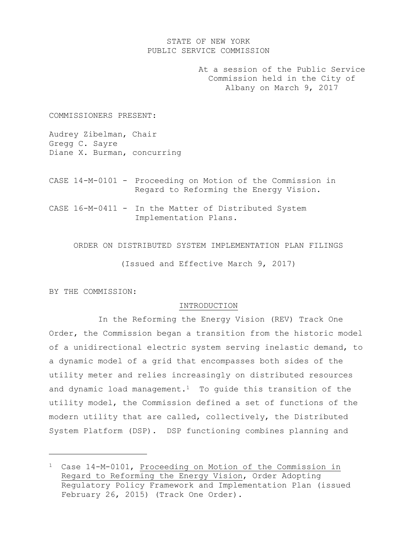# STATE OF NEW YORK PUBLIC SERVICE COMMISSION

At a session of the Public Service Commission held in the City of Albany on March 9, 2017

COMMISSIONERS PRESENT:

Audrey Zibelman, Chair Gregg C. Sayre Diane X. Burman, concurring

- CASE 14-M-0101 Proceeding on Motion of the Commission in Regard to Reforming the Energy Vision.
- CASE 16-M-0411 In the Matter of Distributed System Implementation Plans.

ORDER ON DISTRIBUTED SYSTEM IMPLEMENTATION PLAN FILINGS

(Issued and Effective March 9, 2017)

BY THE COMMISSION:

l

### INTRODUCTION

In the Reforming the Energy Vision (REV) Track One Order, the Commission began a transition from the historic model of a unidirectional electric system serving inelastic demand, to a dynamic model of a grid that encompasses both sides of the utility meter and relies increasingly on distributed resources and dynamic load management.<sup>1</sup> To guide this transition of the utility model, the Commission defined a set of functions of the modern utility that are called, collectively, the Distributed System Platform (DSP). DSP functioning combines planning and

<sup>1</sup> Case 14-M-0101, Proceeding on Motion of the Commission in Regard to Reforming the Energy Vision, Order Adopting Regulatory Policy Framework and Implementation Plan (issued February 26, 2015) (Track One Order).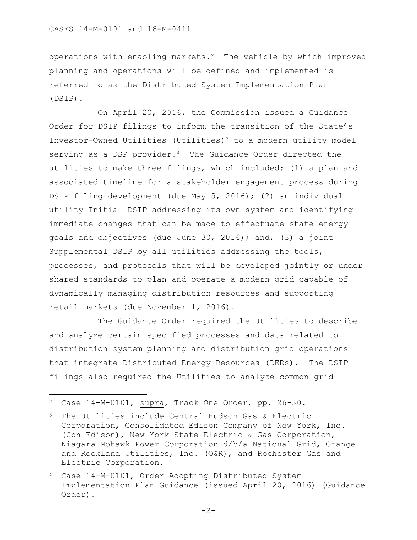operations with enabling markets.2 The vehicle by which improved planning and operations will be defined and implemented is referred to as the Distributed System Implementation Plan (DSIP).

On April 20, 2016, the Commission issued a Guidance Order for DSIP filings to inform the transition of the State's Investor-Owned Utilities (Utilities)<sup>3</sup> to a modern utility model serving as a DSP provider.<sup>4</sup> The Guidance Order directed the utilities to make three filings, which included: (1) a plan and associated timeline for a stakeholder engagement process during DSIP filing development (due May 5, 2016); (2) an individual utility Initial DSIP addressing its own system and identifying immediate changes that can be made to effectuate state energy goals and objectives (due June 30, 2016); and, (3) a joint Supplemental DSIP by all utilities addressing the tools, processes, and protocols that will be developed jointly or under shared standards to plan and operate a modern grid capable of dynamically managing distribution resources and supporting retail markets (due November 1, 2016).

The Guidance Order required the Utilities to describe and analyze certain specified processes and data related to distribution system planning and distribution grid operations that integrate Distributed Energy Resources (DERs). The DSIP filings also required the Utilities to analyze common grid

 $\overline{\phantom{a}}$ 

<sup>2</sup> Case 14-M-0101, supra, Track One Order, pp. 26-30.

<sup>3</sup> The Utilities include Central Hudson Gas & Electric Corporation, Consolidated Edison Company of New York, Inc. (Con Edison), New York State Electric & Gas Corporation, Niagara Mohawk Power Corporation d/b/a National Grid, Orange and Rockland Utilities, Inc. (O&R), and Rochester Gas and Electric Corporation.

<sup>4</sup> Case 14-M-0101, Order Adopting Distributed System Implementation Plan Guidance (issued April 20, 2016) (Guidance Order).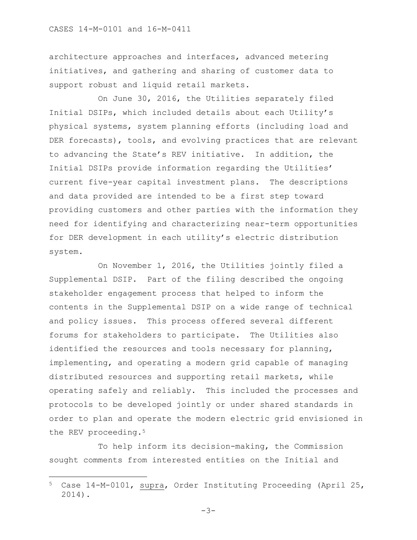architecture approaches and interfaces, advanced metering initiatives, and gathering and sharing of customer data to support robust and liquid retail markets.

On June 30, 2016, the Utilities separately filed Initial DSIPs, which included details about each Utility's physical systems, system planning efforts (including load and DER forecasts), tools, and evolving practices that are relevant to advancing the State's REV initiative. In addition, the Initial DSIPs provide information regarding the Utilities' current five-year capital investment plans. The descriptions and data provided are intended to be a first step toward providing customers and other parties with the information they need for identifying and characterizing near-term opportunities for DER development in each utility's electric distribution system.

On November 1, 2016, the Utilities jointly filed a Supplemental DSIP. Part of the filing described the ongoing stakeholder engagement process that helped to inform the contents in the Supplemental DSIP on a wide range of technical and policy issues. This process offered several different forums for stakeholders to participate. The Utilities also identified the resources and tools necessary for planning, implementing, and operating a modern grid capable of managing distributed resources and supporting retail markets, while operating safely and reliably. This included the processes and protocols to be developed jointly or under shared standards in order to plan and operate the modern electric grid envisioned in the REV proceeding.<sup>5</sup>

To help inform its decision-making, the Commission sought comments from interested entities on the Initial and

 $\overline{\phantom{a}}$ 

 $-3-$ 

<sup>5</sup> Case 14-M-0101, supra, Order Instituting Proceeding (April 25, 2014).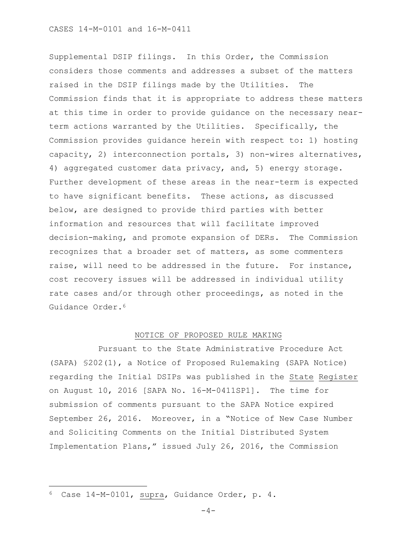Supplemental DSIP filings. In this Order, the Commission considers those comments and addresses a subset of the matters raised in the DSIP filings made by the Utilities. The Commission finds that it is appropriate to address these matters at this time in order to provide guidance on the necessary nearterm actions warranted by the Utilities. Specifically, the Commission provides guidance herein with respect to: 1) hosting capacity, 2) interconnection portals, 3) non-wires alternatives, 4) aggregated customer data privacy, and, 5) energy storage. Further development of these areas in the near-term is expected to have significant benefits. These actions, as discussed below, are designed to provide third parties with better information and resources that will facilitate improved decision-making, and promote expansion of DERs. The Commission recognizes that a broader set of matters, as some commenters raise, will need to be addressed in the future. For instance, cost recovery issues will be addressed in individual utility rate cases and/or through other proceedings, as noted in the Guidance Order.<sup>6</sup>

### NOTICE OF PROPOSED RULE MAKING

Pursuant to the State Administrative Procedure Act (SAPA) §202(1), a Notice of Proposed Rulemaking (SAPA Notice) regarding the Initial DSIPs was published in the State Register on August 10, 2016 [SAPA No. 16-M-0411SP1]. The time for submission of comments pursuant to the SAPA Notice expired September 26, 2016. Moreover, in a "Notice of New Case Number and Soliciting Comments on the Initial Distributed System Implementation Plans," issued July 26, 2016, the Commission

 $\overline{a}$ 

<sup>6</sup> Case 14-M-0101, supra, Guidance Order, p. 4.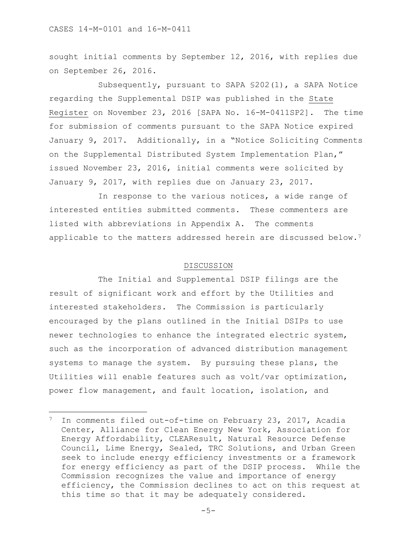$\overline{a}$ 

sought initial comments by September 12, 2016, with replies due on September 26, 2016.

Subsequently, pursuant to SAPA §202(1), a SAPA Notice regarding the Supplemental DSIP was published in the State Register on November 23, 2016 [SAPA No. 16-M-0411SP2]. The time for submission of comments pursuant to the SAPA Notice expired January 9, 2017. Additionally, in a "Notice Soliciting Comments on the Supplemental Distributed System Implementation Plan," issued November 23, 2016, initial comments were solicited by January 9, 2017, with replies due on January 23, 2017.

In response to the various notices, a wide range of interested entities submitted comments. These commenters are listed with abbreviations in Appendix A. The comments applicable to the matters addressed herein are discussed below.<sup>7</sup>

### DISCUSSION

The Initial and Supplemental DSIP filings are the result of significant work and effort by the Utilities and interested stakeholders. The Commission is particularly encouraged by the plans outlined in the Initial DSIPs to use newer technologies to enhance the integrated electric system, such as the incorporation of advanced distribution management systems to manage the system. By pursuing these plans, the Utilities will enable features such as volt/var optimization, power flow management, and fault location, isolation, and

<sup>7</sup> In comments filed out-of-time on February 23, 2017, Acadia Center, Alliance for Clean Energy New York, Association for Energy Affordability, CLEAResult, Natural Resource Defense Council, Lime Energy, Sealed, TRC Solutions, and Urban Green seek to include energy efficiency investments or a framework for energy efficiency as part of the DSIP process. While the Commission recognizes the value and importance of energy efficiency, the Commission declines to act on this request at this time so that it may be adequately considered.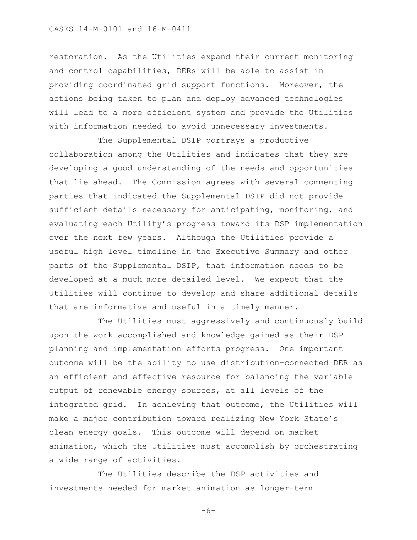### CASES 14-M-0101 and 16-M-0411

restoration. As the Utilities expand their current monitoring and control capabilities, DERs will be able to assist in providing coordinated grid support functions. Moreover, the actions being taken to plan and deploy advanced technologies will lead to a more efficient system and provide the Utilities with information needed to avoid unnecessary investments.

The Supplemental DSIP portrays a productive collaboration among the Utilities and indicates that they are developing a good understanding of the needs and opportunities that lie ahead. The Commission agrees with several commenting parties that indicated the Supplemental DSIP did not provide sufficient details necessary for anticipating, monitoring, and evaluating each Utility's progress toward its DSP implementation over the next few years. Although the Utilities provide a useful high level timeline in the Executive Summary and other parts of the Supplemental DSIP, that information needs to be developed at a much more detailed level. We expect that the Utilities will continue to develop and share additional details that are informative and useful in a timely manner.

The Utilities must aggressively and continuously build upon the work accomplished and knowledge gained as their DSP planning and implementation efforts progress. One important outcome will be the ability to use distribution-connected DER as an efficient and effective resource for balancing the variable output of renewable energy sources, at all levels of the integrated grid. In achieving that outcome, the Utilities will make a major contribution toward realizing New York State's clean energy goals. This outcome will depend on market animation, which the Utilities must accomplish by orchestrating a wide range of activities.

The Utilities describe the DSP activities and investments needed for market animation as longer-term

 $-6-$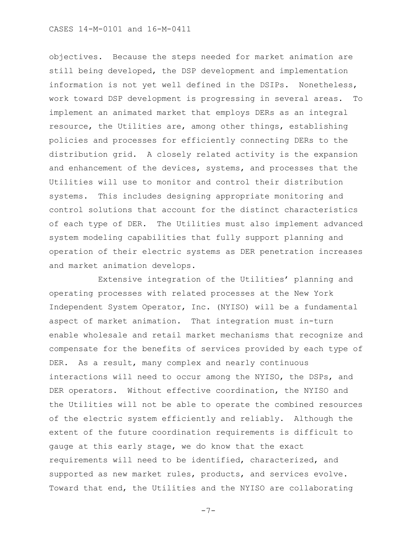objectives. Because the steps needed for market animation are still being developed, the DSP development and implementation information is not yet well defined in the DSIPs. Nonetheless, work toward DSP development is progressing in several areas. To implement an animated market that employs DERs as an integral resource, the Utilities are, among other things, establishing policies and processes for efficiently connecting DERs to the distribution grid. A closely related activity is the expansion and enhancement of the devices, systems, and processes that the Utilities will use to monitor and control their distribution systems. This includes designing appropriate monitoring and control solutions that account for the distinct characteristics of each type of DER. The Utilities must also implement advanced system modeling capabilities that fully support planning and operation of their electric systems as DER penetration increases and market animation develops.

Extensive integration of the Utilities' planning and operating processes with related processes at the New York Independent System Operator, Inc. (NYISO) will be a fundamental aspect of market animation. That integration must in-turn enable wholesale and retail market mechanisms that recognize and compensate for the benefits of services provided by each type of DER. As a result, many complex and nearly continuous interactions will need to occur among the NYISO, the DSPs, and DER operators. Without effective coordination, the NYISO and the Utilities will not be able to operate the combined resources of the electric system efficiently and reliably. Although the extent of the future coordination requirements is difficult to gauge at this early stage, we do know that the exact requirements will need to be identified, characterized, and supported as new market rules, products, and services evolve. Toward that end, the Utilities and the NYISO are collaborating

-7-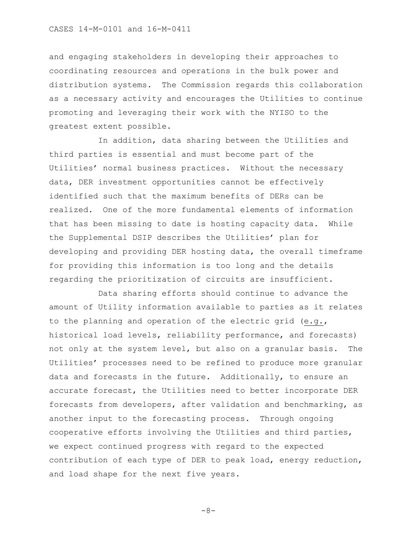and engaging stakeholders in developing their approaches to coordinating resources and operations in the bulk power and distribution systems. The Commission regards this collaboration as a necessary activity and encourages the Utilities to continue promoting and leveraging their work with the NYISO to the greatest extent possible.

In addition, data sharing between the Utilities and third parties is essential and must become part of the Utilities' normal business practices. Without the necessary data, DER investment opportunities cannot be effectively identified such that the maximum benefits of DERs can be realized. One of the more fundamental elements of information that has been missing to date is hosting capacity data. While the Supplemental DSIP describes the Utilities' plan for developing and providing DER hosting data, the overall timeframe for providing this information is too long and the details regarding the prioritization of circuits are insufficient.

Data sharing efforts should continue to advance the amount of Utility information available to parties as it relates to the planning and operation of the electric grid (e.g., historical load levels, reliability performance, and forecasts) not only at the system level, but also on a granular basis. The Utilities' processes need to be refined to produce more granular data and forecasts in the future. Additionally, to ensure an accurate forecast, the Utilities need to better incorporate DER forecasts from developers, after validation and benchmarking, as another input to the forecasting process. Through ongoing cooperative efforts involving the Utilities and third parties, we expect continued progress with regard to the expected contribution of each type of DER to peak load, energy reduction, and load shape for the next five years.

-8-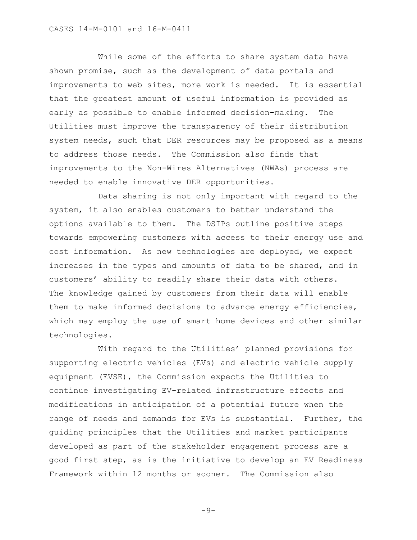While some of the efforts to share system data have shown promise, such as the development of data portals and improvements to web sites, more work is needed. It is essential that the greatest amount of useful information is provided as early as possible to enable informed decision-making. The Utilities must improve the transparency of their distribution system needs, such that DER resources may be proposed as a means to address those needs. The Commission also finds that improvements to the Non-Wires Alternatives (NWAs) process are needed to enable innovative DER opportunities.

Data sharing is not only important with regard to the system, it also enables customers to better understand the options available to them. The DSIPs outline positive steps towards empowering customers with access to their energy use and cost information. As new technologies are deployed, we expect increases in the types and amounts of data to be shared, and in customers' ability to readily share their data with others. The knowledge gained by customers from their data will enable them to make informed decisions to advance energy efficiencies, which may employ the use of smart home devices and other similar technologies.

With regard to the Utilities' planned provisions for supporting electric vehicles (EVs) and electric vehicle supply equipment (EVSE), the Commission expects the Utilities to continue investigating EV-related infrastructure effects and modifications in anticipation of a potential future when the range of needs and demands for EVs is substantial. Further, the guiding principles that the Utilities and market participants developed as part of the stakeholder engagement process are a good first step, as is the initiative to develop an EV Readiness Framework within 12 months or sooner. The Commission also

 $-9-$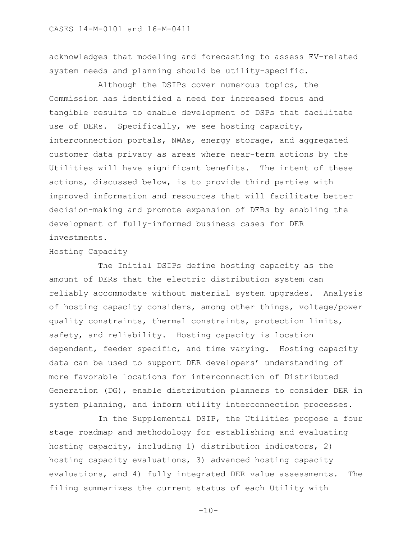acknowledges that modeling and forecasting to assess EV-related system needs and planning should be utility-specific.

Although the DSIPs cover numerous topics, the Commission has identified a need for increased focus and tangible results to enable development of DSPs that facilitate use of DERs. Specifically, we see hosting capacity, interconnection portals, NWAs, energy storage, and aggregated customer data privacy as areas where near-term actions by the Utilities will have significant benefits. The intent of these actions, discussed below, is to provide third parties with improved information and resources that will facilitate better decision-making and promote expansion of DERs by enabling the development of fully-informed business cases for DER investments.

## Hosting Capacity

The Initial DSIPs define hosting capacity as the amount of DERs that the electric distribution system can reliably accommodate without material system upgrades. Analysis of hosting capacity considers, among other things, voltage/power quality constraints, thermal constraints, protection limits, safety, and reliability. Hosting capacity is location dependent, feeder specific, and time varying. Hosting capacity data can be used to support DER developers' understanding of more favorable locations for interconnection of Distributed Generation (DG), enable distribution planners to consider DER in system planning, and inform utility interconnection processes.

In the Supplemental DSIP, the Utilities propose a four stage roadmap and methodology for establishing and evaluating hosting capacity, including 1) distribution indicators, 2) hosting capacity evaluations, 3) advanced hosting capacity evaluations, and 4) fully integrated DER value assessments. The filing summarizes the current status of each Utility with

 $-10-$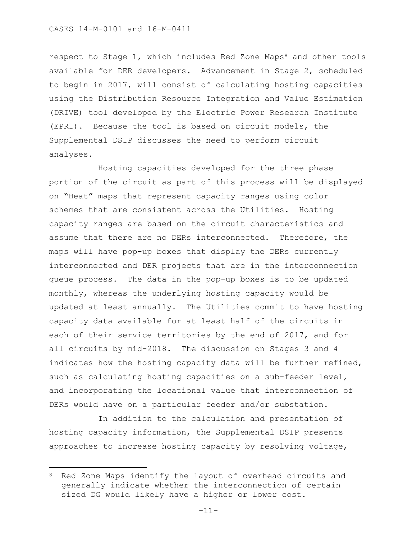respect to Stage 1, which includes Red Zone Maps<sup>8</sup> and other tools available for DER developers. Advancement in Stage 2, scheduled to begin in 2017, will consist of calculating hosting capacities using the Distribution Resource Integration and Value Estimation (DRIVE) tool developed by the Electric Power Research Institute (EPRI). Because the tool is based on circuit models, the Supplemental DSIP discusses the need to perform circuit analyses.

Hosting capacities developed for the three phase portion of the circuit as part of this process will be displayed on "Heat" maps that represent capacity ranges using color schemes that are consistent across the Utilities. Hosting capacity ranges are based on the circuit characteristics and assume that there are no DERs interconnected. Therefore, the maps will have pop-up boxes that display the DERs currently interconnected and DER projects that are in the interconnection queue process. The data in the pop-up boxes is to be updated monthly, whereas the underlying hosting capacity would be updated at least annually. The Utilities commit to have hosting capacity data available for at least half of the circuits in each of their service territories by the end of 2017, and for all circuits by mid-2018. The discussion on Stages 3 and 4 indicates how the hosting capacity data will be further refined, such as calculating hosting capacities on a sub-feeder level, and incorporating the locational value that interconnection of DERs would have on a particular feeder and/or substation.

In addition to the calculation and presentation of hosting capacity information, the Supplemental DSIP presents approaches to increase hosting capacity by resolving voltage,

 $\overline{\phantom{a}}$ 

<sup>&</sup>lt;sup>8</sup> Red Zone Maps identify the layout of overhead circuits and generally indicate whether the interconnection of certain sized DG would likely have a higher or lower cost.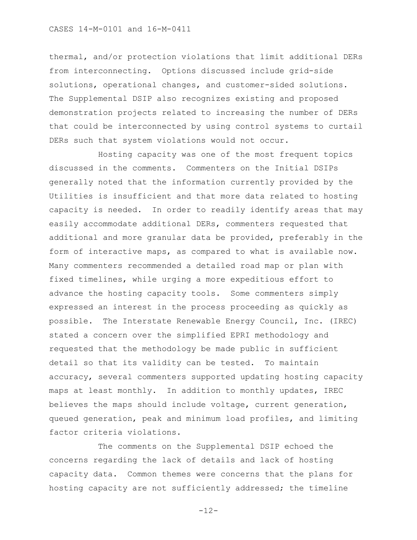thermal, and/or protection violations that limit additional DERs from interconnecting. Options discussed include grid-side solutions, operational changes, and customer-sided solutions. The Supplemental DSIP also recognizes existing and proposed demonstration projects related to increasing the number of DERs that could be interconnected by using control systems to curtail DERs such that system violations would not occur.

Hosting capacity was one of the most frequent topics discussed in the comments. Commenters on the Initial DSIPs generally noted that the information currently provided by the Utilities is insufficient and that more data related to hosting capacity is needed. In order to readily identify areas that may easily accommodate additional DERs, commenters requested that additional and more granular data be provided, preferably in the form of interactive maps, as compared to what is available now. Many commenters recommended a detailed road map or plan with fixed timelines, while urging a more expeditious effort to advance the hosting capacity tools. Some commenters simply expressed an interest in the process proceeding as quickly as possible. The Interstate Renewable Energy Council, Inc. (IREC) stated a concern over the simplified EPRI methodology and requested that the methodology be made public in sufficient detail so that its validity can be tested. To maintain accuracy, several commenters supported updating hosting capacity maps at least monthly. In addition to monthly updates, IREC believes the maps should include voltage, current generation, queued generation, peak and minimum load profiles, and limiting factor criteria violations.

The comments on the Supplemental DSIP echoed the concerns regarding the lack of details and lack of hosting capacity data. Common themes were concerns that the plans for hosting capacity are not sufficiently addressed; the timeline

-12-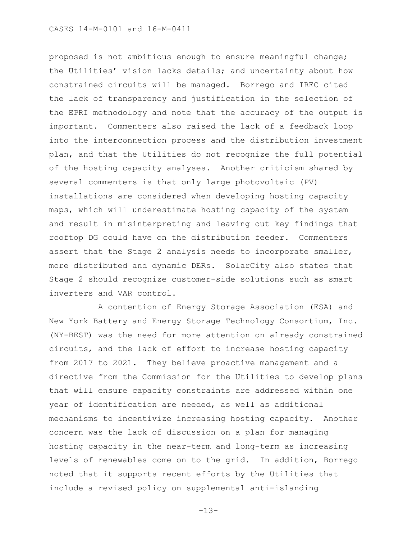proposed is not ambitious enough to ensure meaningful change; the Utilities' vision lacks details; and uncertainty about how constrained circuits will be managed. Borrego and IREC cited the lack of transparency and justification in the selection of the EPRI methodology and note that the accuracy of the output is important. Commenters also raised the lack of a feedback loop into the interconnection process and the distribution investment plan, and that the Utilities do not recognize the full potential of the hosting capacity analyses. Another criticism shared by several commenters is that only large photovoltaic (PV) installations are considered when developing hosting capacity maps, which will underestimate hosting capacity of the system and result in misinterpreting and leaving out key findings that rooftop DG could have on the distribution feeder. Commenters assert that the Stage 2 analysis needs to incorporate smaller, more distributed and dynamic DERs. SolarCity also states that Stage 2 should recognize customer-side solutions such as smart inverters and VAR control.

A contention of Energy Storage Association (ESA) and New York Battery and Energy Storage Technology Consortium, Inc. (NY-BEST) was the need for more attention on already constrained circuits, and the lack of effort to increase hosting capacity from 2017 to 2021. They believe proactive management and a directive from the Commission for the Utilities to develop plans that will ensure capacity constraints are addressed within one year of identification are needed, as well as additional mechanisms to incentivize increasing hosting capacity. Another concern was the lack of discussion on a plan for managing hosting capacity in the near-term and long-term as increasing levels of renewables come on to the grid. In addition, Borrego noted that it supports recent efforts by the Utilities that include a revised policy on supplemental anti-islanding

-13-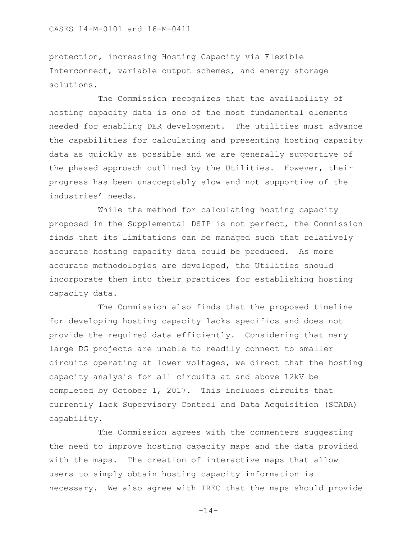### CASES 14-M-0101 and 16-M-0411

protection, increasing Hosting Capacity via Flexible Interconnect, variable output schemes, and energy storage solutions.

The Commission recognizes that the availability of hosting capacity data is one of the most fundamental elements needed for enabling DER development. The utilities must advance the capabilities for calculating and presenting hosting capacity data as quickly as possible and we are generally supportive of the phased approach outlined by the Utilities. However, their progress has been unacceptably slow and not supportive of the industries' needs.

While the method for calculating hosting capacity proposed in the Supplemental DSIP is not perfect, the Commission finds that its limitations can be managed such that relatively accurate hosting capacity data could be produced. As more accurate methodologies are developed, the Utilities should incorporate them into their practices for establishing hosting capacity data.

The Commission also finds that the proposed timeline for developing hosting capacity lacks specifics and does not provide the required data efficiently. Considering that many large DG projects are unable to readily connect to smaller circuits operating at lower voltages, we direct that the hosting capacity analysis for all circuits at and above 12kV be completed by October 1, 2017. This includes circuits that currently lack Supervisory Control and Data Acquisition (SCADA) capability.

The Commission agrees with the commenters suggesting the need to improve hosting capacity maps and the data provided with the maps. The creation of interactive maps that allow users to simply obtain hosting capacity information is necessary. We also agree with IREC that the maps should provide

-14-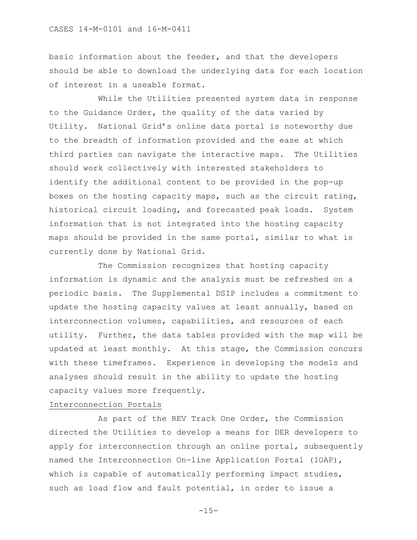basic information about the feeder, and that the developers should be able to download the underlying data for each location of interest in a useable format.

While the Utilities presented system data in response to the Guidance Order, the quality of the data varied by Utility. National Grid's online data portal is noteworthy due to the breadth of information provided and the ease at which third parties can navigate the interactive maps. The Utilities should work collectively with interested stakeholders to identify the additional content to be provided in the pop-up boxes on the hosting capacity maps, such as the circuit rating, historical circuit loading, and forecasted peak loads. System information that is not integrated into the hosting capacity maps should be provided in the same portal, similar to what is currently done by National Grid.

The Commission recognizes that hosting capacity information is dynamic and the analysis must be refreshed on a periodic basis. The Supplemental DSIP includes a commitment to update the hosting capacity values at least annually, based on interconnection volumes, capabilities, and resources of each utility. Further, the data tables provided with the map will be updated at least monthly. At this stage, the Commission concurs with these timeframes. Experience in developing the models and analyses should result in the ability to update the hosting capacity values more frequently.

# Interconnection Portals

As part of the REV Track One Order, the Commission directed the Utilities to develop a means for DER developers to apply for interconnection through an online portal, subsequently named the Interconnection On-line Application Portal (IOAP), which is capable of automatically performing impact studies, such as load flow and fault potential, in order to issue a

 $-15-$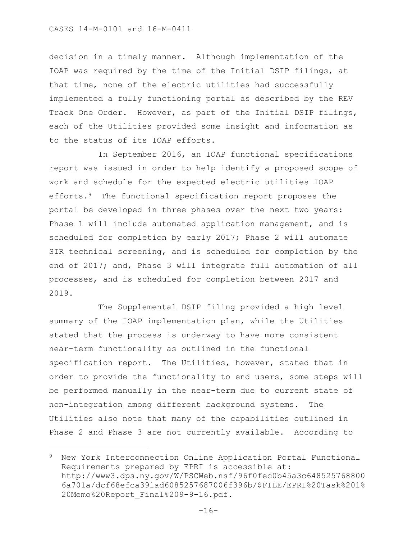### CASES 14-M-0101 and 16-M-0411

 $\overline{a}$ 

decision in a timely manner. Although implementation of the IOAP was required by the time of the Initial DSIP filings, at that time, none of the electric utilities had successfully implemented a fully functioning portal as described by the REV Track One Order. However, as part of the Initial DSIP filings, each of the Utilities provided some insight and information as to the status of its IOAP efforts.

In September 2016, an IOAP functional specifications report was issued in order to help identify a proposed scope of work and schedule for the expected electric utilities IOAP efforts.<sup>9</sup> The functional specification report proposes the portal be developed in three phases over the next two years: Phase 1 will include automated application management, and is scheduled for completion by early 2017; Phase 2 will automate SIR technical screening, and is scheduled for completion by the end of 2017; and, Phase 3 will integrate full automation of all processes, and is scheduled for completion between 2017 and 2019.

The Supplemental DSIP filing provided a high level summary of the IOAP implementation plan, while the Utilities stated that the process is underway to have more consistent near-term functionality as outlined in the functional specification report. The Utilities, however, stated that in order to provide the functionality to end users, some steps will be performed manually in the near-term due to current state of non-integration among different background systems. The Utilities also note that many of the capabilities outlined in Phase 2 and Phase 3 are not currently available. According to

<sup>9</sup> New York Interconnection Online Application Portal Functional Requirements prepared by EPRI is accessible at: http://www3.dps.ny.gov/W/PSCWeb.nsf/96f0fec0b45a3c648525768800 6a701a/dcf68efca391ad6085257687006f396b/\$FILE/EPRI%20Task%201% 20Memo%20Report\_Final%209-9-16.pdf.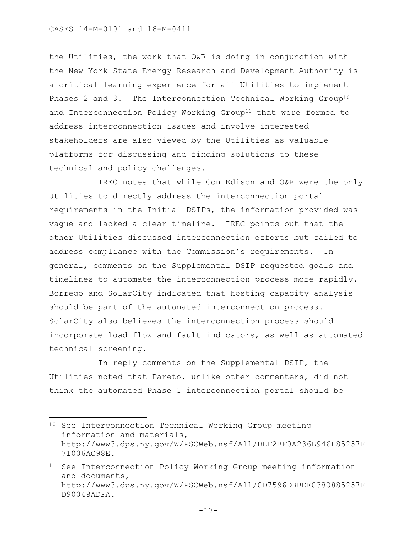l

the Utilities, the work that O&R is doing in conjunction with the New York State Energy Research and Development Authority is a critical learning experience for all Utilities to implement Phases 2 and 3. The Interconnection Technical Working Group<sup>10</sup> and Interconnection Policy Working Group<sup>11</sup> that were formed to address interconnection issues and involve interested stakeholders are also viewed by the Utilities as valuable platforms for discussing and finding solutions to these technical and policy challenges.

IREC notes that while Con Edison and O&R were the only Utilities to directly address the interconnection portal requirements in the Initial DSIPs, the information provided was vague and lacked a clear timeline. IREC points out that the other Utilities discussed interconnection efforts but failed to address compliance with the Commission's requirements. In general, comments on the Supplemental DSIP requested goals and timelines to automate the interconnection process more rapidly. Borrego and SolarCity indicated that hosting capacity analysis should be part of the automated interconnection process. SolarCity also believes the interconnection process should incorporate load flow and fault indicators, as well as automated technical screening.

In reply comments on the Supplemental DSIP, the Utilities noted that Pareto, unlike other commenters, did not think the automated Phase 1 interconnection portal should be

<sup>10</sup> See Interconnection Technical Working Group meeting information and materials, http://www3.dps.ny.gov/W/PSCWeb.nsf/All/DEF2BF0A236B946F85257F 71006AC98E.

<sup>11</sup> See Interconnection Policy Working Group meeting information and documents, http://www3.dps.ny.gov/W/PSCWeb.nsf/All/0D7596DBBEF0380885257F D90048ADFA.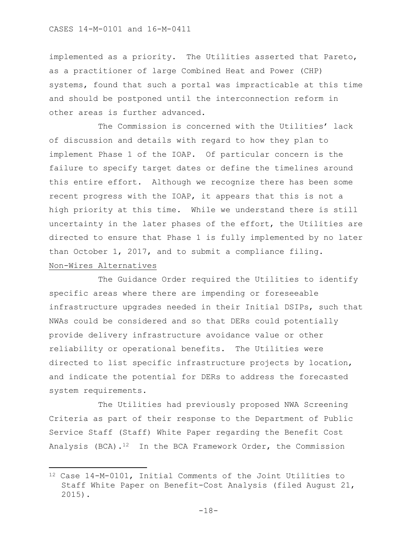implemented as a priority. The Utilities asserted that Pareto, as a practitioner of large Combined Heat and Power (CHP) systems, found that such a portal was impracticable at this time and should be postponed until the interconnection reform in other areas is further advanced.

The Commission is concerned with the Utilities' lack of discussion and details with regard to how they plan to implement Phase 1 of the IOAP. Of particular concern is the failure to specify target dates or define the timelines around this entire effort. Although we recognize there has been some recent progress with the IOAP, it appears that this is not a high priority at this time. While we understand there is still uncertainty in the later phases of the effort, the Utilities are directed to ensure that Phase 1 is fully implemented by no later than October 1, 2017, and to submit a compliance filing. Non-Wires Alternatives

The Guidance Order required the Utilities to identify specific areas where there are impending or foreseeable infrastructure upgrades needed in their Initial DSIPs, such that NWAs could be considered and so that DERs could potentially provide delivery infrastructure avoidance value or other reliability or operational benefits. The Utilities were directed to list specific infrastructure projects by location, and indicate the potential for DERs to address the forecasted system requirements.

The Utilities had previously proposed NWA Screening Criteria as part of their response to the Department of Public Service Staff (Staff) White Paper regarding the Benefit Cost Analysis (BCA).12 In the BCA Framework Order, the Commission

 $\overline{\phantom{a}}$ 

<sup>12</sup> Case 14-M-0101, Initial Comments of the Joint Utilities to Staff White Paper on Benefit-Cost Analysis (filed August 21, 2015).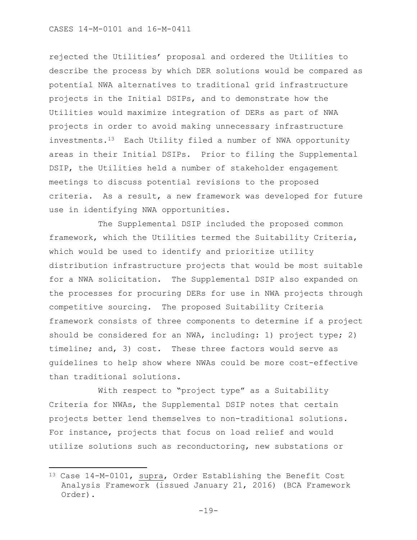rejected the Utilities' proposal and ordered the Utilities to describe the process by which DER solutions would be compared as potential NWA alternatives to traditional grid infrastructure projects in the Initial DSIPs, and to demonstrate how the Utilities would maximize integration of DERs as part of NWA projects in order to avoid making unnecessary infrastructure investments.13 Each Utility filed a number of NWA opportunity areas in their Initial DSIPs. Prior to filing the Supplemental DSIP, the Utilities held a number of stakeholder engagement meetings to discuss potential revisions to the proposed criteria. As a result, a new framework was developed for future use in identifying NWA opportunities.

The Supplemental DSIP included the proposed common framework, which the Utilities termed the Suitability Criteria, which would be used to identify and prioritize utility distribution infrastructure projects that would be most suitable for a NWA solicitation. The Supplemental DSIP also expanded on the processes for procuring DERs for use in NWA projects through competitive sourcing. The proposed Suitability Criteria framework consists of three components to determine if a project should be considered for an NWA, including: 1) project type; 2) timeline; and, 3) cost. These three factors would serve as guidelines to help show where NWAs could be more cost-effective than traditional solutions.

With respect to "project type" as a Suitability Criteria for NWAs, the Supplemental DSIP notes that certain projects better lend themselves to non-traditional solutions. For instance, projects that focus on load relief and would utilize solutions such as reconductoring, new substations or

 $\overline{\phantom{a}}$ 

<sup>13</sup> Case 14-M-0101, supra, Order Establishing the Benefit Cost Analysis Framework (issued January 21, 2016) (BCA Framework Order).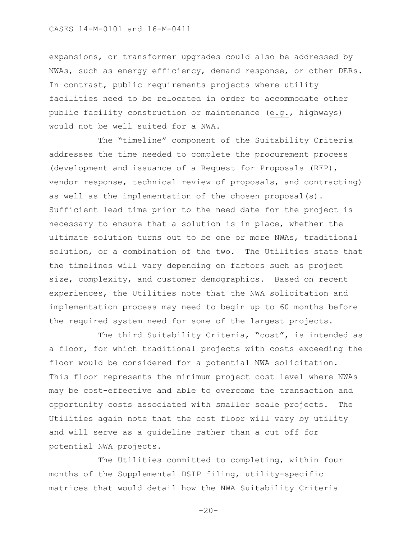expansions, or transformer upgrades could also be addressed by NWAs, such as energy efficiency, demand response, or other DERs. In contrast, public requirements projects where utility facilities need to be relocated in order to accommodate other public facility construction or maintenance (e.g., highways) would not be well suited for a NWA.

The "timeline" component of the Suitability Criteria addresses the time needed to complete the procurement process (development and issuance of a Request for Proposals (RFP), vendor response, technical review of proposals, and contracting) as well as the implementation of the chosen proposal(s). Sufficient lead time prior to the need date for the project is necessary to ensure that a solution is in place, whether the ultimate solution turns out to be one or more NWAs, traditional solution, or a combination of the two. The Utilities state that the timelines will vary depending on factors such as project size, complexity, and customer demographics. Based on recent experiences, the Utilities note that the NWA solicitation and implementation process may need to begin up to 60 months before the required system need for some of the largest projects.

The third Suitability Criteria, "cost", is intended as a floor, for which traditional projects with costs exceeding the floor would be considered for a potential NWA solicitation. This floor represents the minimum project cost level where NWAs may be cost-effective and able to overcome the transaction and opportunity costs associated with smaller scale projects. The Utilities again note that the cost floor will vary by utility and will serve as a guideline rather than a cut off for potential NWA projects.

The Utilities committed to completing, within four months of the Supplemental DSIP filing, utility-specific matrices that would detail how the NWA Suitability Criteria

 $-20-$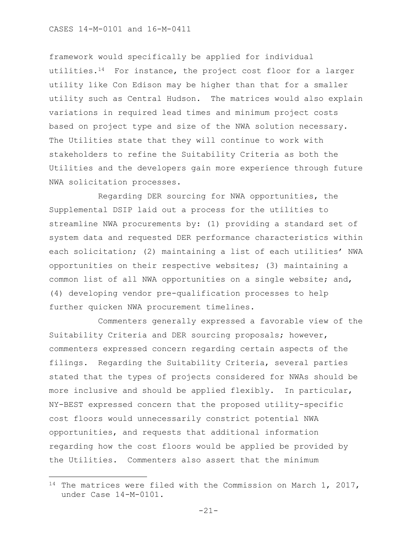framework would specifically be applied for individual utilities.14 For instance, the project cost floor for a larger utility like Con Edison may be higher than that for a smaller utility such as Central Hudson. The matrices would also explain variations in required lead times and minimum project costs based on project type and size of the NWA solution necessary. The Utilities state that they will continue to work with stakeholders to refine the Suitability Criteria as both the Utilities and the developers gain more experience through future NWA solicitation processes.

Regarding DER sourcing for NWA opportunities, the Supplemental DSIP laid out a process for the utilities to streamline NWA procurements by: (1) providing a standard set of system data and requested DER performance characteristics within each solicitation; (2) maintaining a list of each utilities' NWA opportunities on their respective websites; (3) maintaining a common list of all NWA opportunities on a single website; and, (4) developing vendor pre-qualification processes to help further quicken NWA procurement timelines.

Commenters generally expressed a favorable view of the Suitability Criteria and DER sourcing proposals; however, commenters expressed concern regarding certain aspects of the filings. Regarding the Suitability Criteria, several parties stated that the types of projects considered for NWAs should be more inclusive and should be applied flexibly. In particular, NY-BEST expressed concern that the proposed utility-specific cost floors would unnecessarily constrict potential NWA opportunities, and requests that additional information regarding how the cost floors would be applied be provided by the Utilities. Commenters also assert that the minimum

 $\overline{\phantom{a}}$ 

<sup>&</sup>lt;sup>14</sup> The matrices were filed with the Commission on March 1, 2017, under Case 14-M-0101.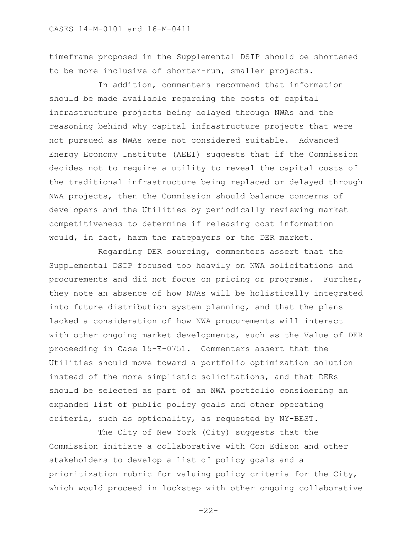timeframe proposed in the Supplemental DSIP should be shortened to be more inclusive of shorter-run, smaller projects.

In addition, commenters recommend that information should be made available regarding the costs of capital infrastructure projects being delayed through NWAs and the reasoning behind why capital infrastructure projects that were not pursued as NWAs were not considered suitable. Advanced Energy Economy Institute (AEEI) suggests that if the Commission decides not to require a utility to reveal the capital costs of the traditional infrastructure being replaced or delayed through NWA projects, then the Commission should balance concerns of developers and the Utilities by periodically reviewing market competitiveness to determine if releasing cost information would, in fact, harm the ratepayers or the DER market.

Regarding DER sourcing, commenters assert that the Supplemental DSIP focused too heavily on NWA solicitations and procurements and did not focus on pricing or programs. Further, they note an absence of how NWAs will be holistically integrated into future distribution system planning, and that the plans lacked a consideration of how NWA procurements will interact with other ongoing market developments, such as the Value of DER proceeding in Case 15-E-0751. Commenters assert that the Utilities should move toward a portfolio optimization solution instead of the more simplistic solicitations, and that DERs should be selected as part of an NWA portfolio considering an expanded list of public policy goals and other operating criteria, such as optionality, as requested by NY-BEST.

The City of New York (City) suggests that the Commission initiate a collaborative with Con Edison and other stakeholders to develop a list of policy goals and a prioritization rubric for valuing policy criteria for the City, which would proceed in lockstep with other ongoing collaborative

-22-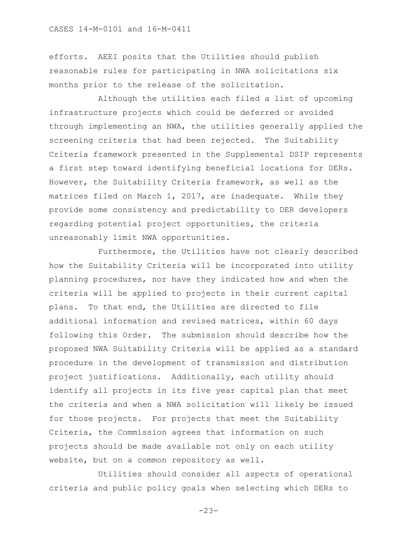efforts. AEEI posits that the Utilities should publish reasonable rules for participating in NWA solicitations six months prior to the release of the solicitation.

Although the utilities each filed a list of upcoming infrastructure projects which could be deferred or avoided through implementing an NWA, the utilities generally applied the screening criteria that had been rejected. The Suitability Criteria framework presented in the Supplemental DSIP represents a first step toward identifying beneficial locations for DERs. However, the Suitability Criteria framework, as well as the matrices filed on March 1, 2017, are inadequate. While they provide some consistency and predictability to DER developers regarding potential project opportunities, the criteria unreasonably limit NWA opportunities.

Furthermore, the Utilities have not clearly described how the Suitability Criteria will be incorporated into utility planning procedures, nor have they indicated how and when the criteria will be applied to projects in their current capital plans. To that end, the Utilities are directed to file additional information and revised matrices, within 60 days following this Order. The submission should describe how the proposed NWA Suitability Criteria will be applied as a standard procedure in the development of transmission and distribution project justifications. Additionally, each utility should identify all projects in its five year capital plan that meet the criteria and when a NWA solicitation will likely be issued for those projects. For projects that meet the Suitability Criteria, the Commission agrees that information on such projects should be made available not only on each utility website, but on a common repository as well.

Utilities should consider all aspects of operational criteria and public policy goals when selecting which DERs to

-23-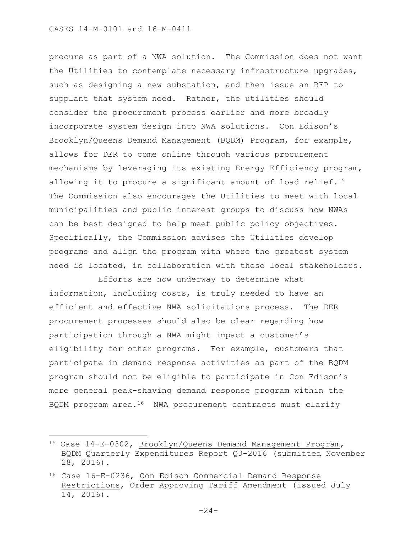$\overline{\phantom{a}}$ 

procure as part of a NWA solution. The Commission does not want the Utilities to contemplate necessary infrastructure upgrades, such as designing a new substation, and then issue an RFP to supplant that system need. Rather, the utilities should consider the procurement process earlier and more broadly incorporate system design into NWA solutions. Con Edison's Brooklyn/Queens Demand Management (BQDM) Program, for example, allows for DER to come online through various procurement mechanisms by leveraging its existing Energy Efficiency program, allowing it to procure a significant amount of load relief.<sup>15</sup> The Commission also encourages the Utilities to meet with local municipalities and public interest groups to discuss how NWAs can be best designed to help meet public policy objectives. Specifically, the Commission advises the Utilities develop programs and align the program with where the greatest system need is located, in collaboration with these local stakeholders.

Efforts are now underway to determine what information, including costs, is truly needed to have an efficient and effective NWA solicitations process. The DER procurement processes should also be clear regarding how participation through a NWA might impact a customer's eligibility for other programs. For example, customers that participate in demand response activities as part of the BQDM program should not be eligible to participate in Con Edison's more general peak-shaving demand response program within the BQDM program area.<sup>16</sup> NWA procurement contracts must clarify

<sup>15</sup> Case 14-E-0302, Brooklyn/Queens Demand Management Program, BQDM Quarterly Expenditures Report Q3-2016 (submitted November 28, 2016).

<sup>16</sup> Case 16-E-0236, Con Edison Commercial Demand Response Restrictions, Order Approving Tariff Amendment (issued July 14, 2016).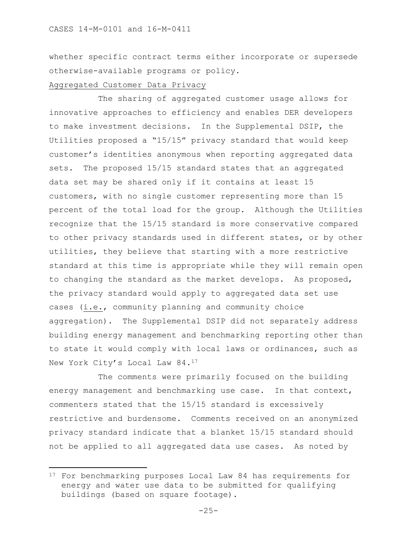whether specific contract terms either incorporate or supersede otherwise-available programs or policy.

## Aggregated Customer Data Privacy

 $\overline{\phantom{a}}$ 

The sharing of aggregated customer usage allows for innovative approaches to efficiency and enables DER developers to make investment decisions. In the Supplemental DSIP, the Utilities proposed a "15/15" privacy standard that would keep customer's identities anonymous when reporting aggregated data sets. The proposed 15/15 standard states that an aggregated data set may be shared only if it contains at least 15 customers, with no single customer representing more than 15 percent of the total load for the group. Although the Utilities recognize that the 15/15 standard is more conservative compared to other privacy standards used in different states, or by other utilities, they believe that starting with a more restrictive standard at this time is appropriate while they will remain open to changing the standard as the market develops. As proposed, the privacy standard would apply to aggregated data set use cases (i.e., community planning and community choice aggregation). The Supplemental DSIP did not separately address building energy management and benchmarking reporting other than to state it would comply with local laws or ordinances, such as New York City's Local Law 84.<sup>17</sup>

The comments were primarily focused on the building energy management and benchmarking use case. In that context, commenters stated that the 15/15 standard is excessively restrictive and burdensome. Comments received on an anonymized privacy standard indicate that a blanket 15/15 standard should not be applied to all aggregated data use cases. As noted by

<sup>&</sup>lt;sup>17</sup> For benchmarking purposes Local Law 84 has requirements for energy and water use data to be submitted for qualifying buildings (based on square footage).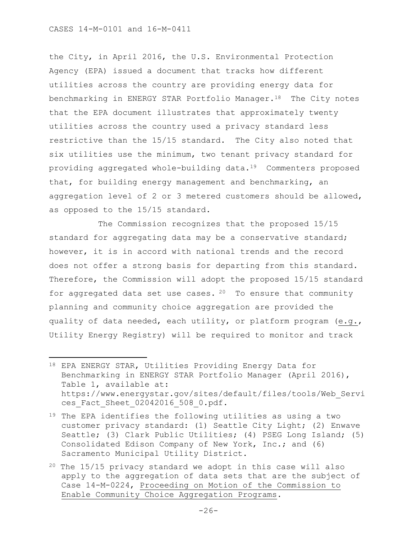$\overline{\phantom{a}}$ 

the City, in April 2016, the U.S. Environmental Protection Agency (EPA) issued a document that tracks how different utilities across the country are providing energy data for benchmarking in ENERGY STAR Portfolio Manager.<sup>18</sup> The City notes that the EPA document illustrates that approximately twenty utilities across the country used a privacy standard less restrictive than the 15/15 standard. The City also noted that six utilities use the minimum, two tenant privacy standard for providing aggregated whole-building data.19 Commenters proposed that, for building energy management and benchmarking, an aggregation level of 2 or 3 metered customers should be allowed, as opposed to the 15/15 standard.

The Commission recognizes that the proposed 15/15 standard for aggregating data may be a conservative standard; however, it is in accord with national trends and the record does not offer a strong basis for departing from this standard. Therefore, the Commission will adopt the proposed 15/15 standard for aggregated data set use cases.  $20$  To ensure that community planning and community choice aggregation are provided the quality of data needed, each utility, or platform program (e.g., Utility Energy Registry) will be required to monitor and track

<sup>18</sup> EPA ENERGY STAR, Utilities Providing Energy Data for Benchmarking in ENERGY STAR Portfolio Manager (April 2016), Table 1, available at: https://www.energystar.gov/sites/default/files/tools/Web\_Servi ces Fact Sheet 02042016 508 0.pdf.

<sup>&</sup>lt;sup>19</sup> The EPA identifies the following utilities as using a two customer privacy standard: (1) Seattle City Light; (2) Enwave Seattle; (3) Clark Public Utilities; (4) PSEG Long Island; (5) Consolidated Edison Company of New York, Inc.; and (6) Sacramento Municipal Utility District.

<sup>20</sup> The 15/15 privacy standard we adopt in this case will also apply to the aggregation of data sets that are the subject of Case 14-M-0224, Proceeding on Motion of the Commission to Enable Community Choice Aggregation Programs.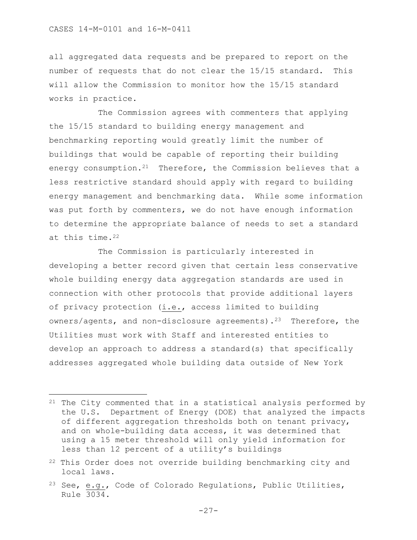$\overline{\phantom{a}}$ 

all aggregated data requests and be prepared to report on the number of requests that do not clear the 15/15 standard. This will allow the Commission to monitor how the 15/15 standard works in practice.

The Commission agrees with commenters that applying the 15/15 standard to building energy management and benchmarking reporting would greatly limit the number of buildings that would be capable of reporting their building energy consumption.<sup>21</sup> Therefore, the Commission believes that a less restrictive standard should apply with regard to building energy management and benchmarking data. While some information was put forth by commenters, we do not have enough information to determine the appropriate balance of needs to set a standard at this time.<sup>22</sup>

The Commission is particularly interested in developing a better record given that certain less conservative whole building energy data aggregation standards are used in connection with other protocols that provide additional layers of privacy protection (i.e., access limited to building owners/agents, and non-disclosure agreements).<sup>23</sup> Therefore, the Utilities must work with Staff and interested entities to develop an approach to address a standard(s) that specifically addresses aggregated whole building data outside of New York

<sup>21</sup> The City commented that in a statistical analysis performed by the U.S. Department of Energy (DOE) that analyzed the impacts of different aggregation thresholds both on tenant privacy, and on whole-building data access, it was determined that using a 15 meter threshold will only yield information for less than 12 percent of a utility's buildings

<sup>&</sup>lt;sup>22</sup> This Order does not override building benchmarking city and local laws.

<sup>&</sup>lt;sup>23</sup> See, e.g., Code of Colorado Regulations, Public Utilities, Rule 3034.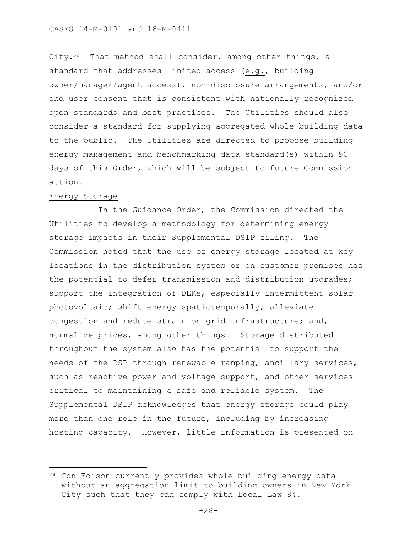City.<sup>24</sup> That method shall consider, among other things, a standard that addresses limited access (e.g., building owner/manager/agent access), non-disclosure arrangements, and/or end user consent that is consistent with nationally recognized open standards and best practices. The Utilities should also consider a standard for supplying aggregated whole building data to the public. The Utilities are directed to propose building energy management and benchmarking data standard(s) within 90 days of this Order, which will be subject to future Commission action.

### Energy Storage

 $\overline{\phantom{a}}$ 

In the Guidance Order, the Commission directed the Utilities to develop a methodology for determining energy storage impacts in their Supplemental DSIP filing. The Commission noted that the use of energy storage located at key locations in the distribution system or on customer premises has the potential to defer transmission and distribution upgrades; support the integration of DERs, especially intermittent solar photovoltaic; shift energy spatiotemporally, alleviate congestion and reduce strain on grid infrastructure; and, normalize prices, among other things. Storage distributed throughout the system also has the potential to support the needs of the DSP through renewable ramping, ancillary services, such as reactive power and voltage support, and other services critical to maintaining a safe and reliable system. The Supplemental DSIP acknowledges that energy storage could play more than one role in the future, including by increasing hosting capacity. However, little information is presented on

<sup>&</sup>lt;sup>24</sup> Con Edison currently provides whole building energy data without an aggregation limit to building owners in New York City such that they can comply with Local Law 84.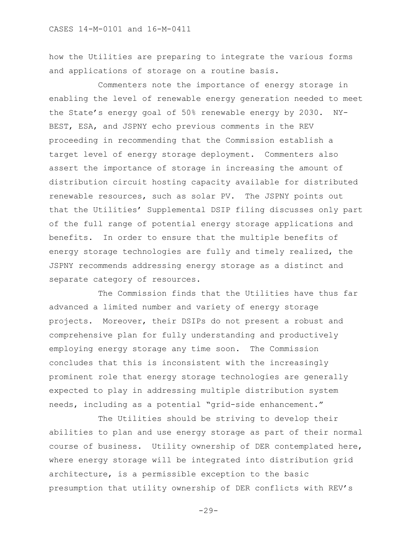how the Utilities are preparing to integrate the various forms and applications of storage on a routine basis.

Commenters note the importance of energy storage in enabling the level of renewable energy generation needed to meet the State's energy goal of 50% renewable energy by 2030. NY-BEST, ESA, and JSPNY echo previous comments in the REV proceeding in recommending that the Commission establish a target level of energy storage deployment. Commenters also assert the importance of storage in increasing the amount of distribution circuit hosting capacity available for distributed renewable resources, such as solar PV. The JSPNY points out that the Utilities' Supplemental DSIP filing discusses only part of the full range of potential energy storage applications and benefits. In order to ensure that the multiple benefits of energy storage technologies are fully and timely realized, the JSPNY recommends addressing energy storage as a distinct and separate category of resources.

The Commission finds that the Utilities have thus far advanced a limited number and variety of energy storage projects. Moreover, their DSIPs do not present a robust and comprehensive plan for fully understanding and productively employing energy storage any time soon. The Commission concludes that this is inconsistent with the increasingly prominent role that energy storage technologies are generally expected to play in addressing multiple distribution system needs, including as a potential "grid-side enhancement."

The Utilities should be striving to develop their abilities to plan and use energy storage as part of their normal course of business. Utility ownership of DER contemplated here, where energy storage will be integrated into distribution grid architecture, is a permissible exception to the basic presumption that utility ownership of DER conflicts with REV's

 $-29-$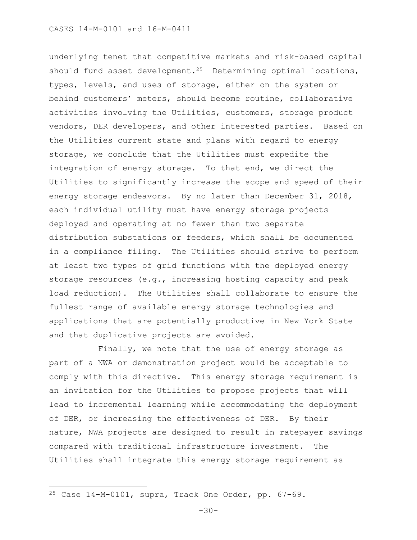underlying tenet that competitive markets and risk-based capital should fund asset development.<sup>25</sup> Determining optimal locations, types, levels, and uses of storage, either on the system or behind customers' meters, should become routine, collaborative activities involving the Utilities, customers, storage product vendors, DER developers, and other interested parties. Based on the Utilities current state and plans with regard to energy storage, we conclude that the Utilities must expedite the integration of energy storage. To that end, we direct the Utilities to significantly increase the scope and speed of their energy storage endeavors. By no later than December 31, 2018, each individual utility must have energy storage projects deployed and operating at no fewer than two separate distribution substations or feeders, which shall be documented in a compliance filing. The Utilities should strive to perform at least two types of grid functions with the deployed energy storage resources (e.g., increasing hosting capacity and peak load reduction). The Utilities shall collaborate to ensure the fullest range of available energy storage technologies and applications that are potentially productive in New York State and that duplicative projects are avoided.

Finally, we note that the use of energy storage as part of a NWA or demonstration project would be acceptable to comply with this directive. This energy storage requirement is an invitation for the Utilities to propose projects that will lead to incremental learning while accommodating the deployment of DER, or increasing the effectiveness of DER. By their nature, NWA projects are designed to result in ratepayer savings compared with traditional infrastructure investment. The Utilities shall integrate this energy storage requirement as

 $\overline{a}$ 

<sup>25</sup> Case 14-M-0101, supra, Track One Order, pp. 67-69.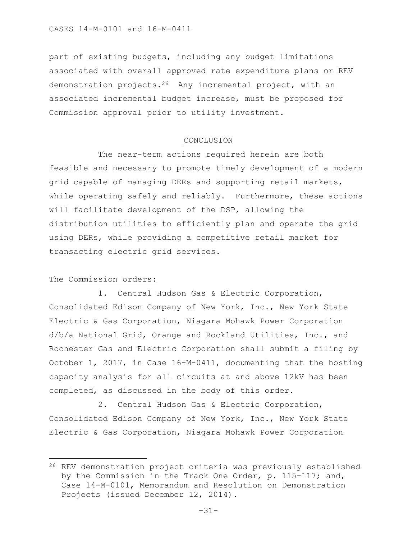part of existing budgets, including any budget limitations associated with overall approved rate expenditure plans or REV demonstration projects.26 Any incremental project, with an associated incremental budget increase, must be proposed for Commission approval prior to utility investment.

#### CONCLUSION

The near-term actions required herein are both feasible and necessary to promote timely development of a modern grid capable of managing DERs and supporting retail markets, while operating safely and reliably. Furthermore, these actions will facilitate development of the DSP, allowing the distribution utilities to efficiently plan and operate the grid using DERs, while providing a competitive retail market for transacting electric grid services.

# The Commission orders:

l

1. Central Hudson Gas & Electric Corporation, Consolidated Edison Company of New York, Inc., New York State Electric & Gas Corporation, Niagara Mohawk Power Corporation d/b/a National Grid, Orange and Rockland Utilities, Inc., and Rochester Gas and Electric Corporation shall submit a filing by October 1, 2017, in Case 16-M-0411, documenting that the hosting capacity analysis for all circuits at and above 12kV has been completed, as discussed in the body of this order.

2. Central Hudson Gas & Electric Corporation, Consolidated Edison Company of New York, Inc., New York State Electric & Gas Corporation, Niagara Mohawk Power Corporation

<sup>26</sup> REV demonstration project criteria was previously established by the Commission in the Track One Order, p. 115-117; and, Case 14-M-0101, Memorandum and Resolution on Demonstration Projects (issued December 12, 2014).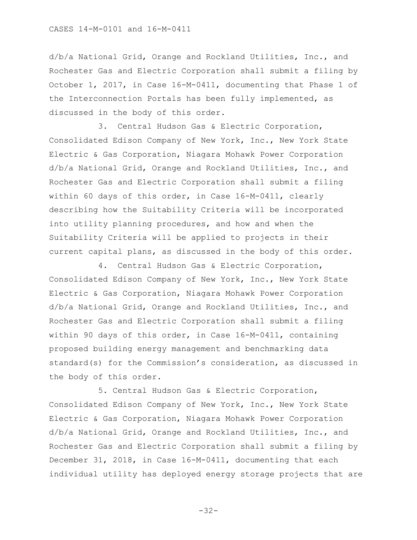d/b/a National Grid, Orange and Rockland Utilities, Inc., and Rochester Gas and Electric Corporation shall submit a filing by October 1, 2017, in Case 16-M-0411, documenting that Phase 1 of the Interconnection Portals has been fully implemented, as discussed in the body of this order.

3. Central Hudson Gas & Electric Corporation, Consolidated Edison Company of New York, Inc., New York State Electric & Gas Corporation, Niagara Mohawk Power Corporation d/b/a National Grid, Orange and Rockland Utilities, Inc., and Rochester Gas and Electric Corporation shall submit a filing within 60 days of this order, in Case 16-M-0411, clearly describing how the Suitability Criteria will be incorporated into utility planning procedures, and how and when the Suitability Criteria will be applied to projects in their current capital plans, as discussed in the body of this order.

4. Central Hudson Gas & Electric Corporation, Consolidated Edison Company of New York, Inc., New York State Electric & Gas Corporation, Niagara Mohawk Power Corporation d/b/a National Grid, Orange and Rockland Utilities, Inc., and Rochester Gas and Electric Corporation shall submit a filing within 90 days of this order, in Case 16-M-0411, containing proposed building energy management and benchmarking data standard(s) for the Commission's consideration, as discussed in the body of this order.

5. Central Hudson Gas & Electric Corporation, Consolidated Edison Company of New York, Inc., New York State Electric & Gas Corporation, Niagara Mohawk Power Corporation d/b/a National Grid, Orange and Rockland Utilities, Inc., and Rochester Gas and Electric Corporation shall submit a filing by December 31, 2018, in Case 16-M-0411, documenting that each individual utility has deployed energy storage projects that are

-32-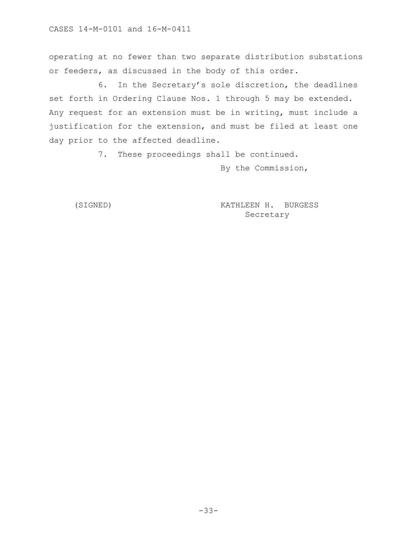operating at no fewer than two separate distribution substations or feeders, as discussed in the body of this order.

6. In the Secretary's sole discretion, the deadlines set forth in Ordering Clause Nos. 1 through 5 may be extended. Any request for an extension must be in writing, must include a justification for the extension, and must be filed at least one day prior to the affected deadline.

7. These proceedings shall be continued.

By the Commission,

(SIGNED) KATHLEEN H. BURGESS Secretary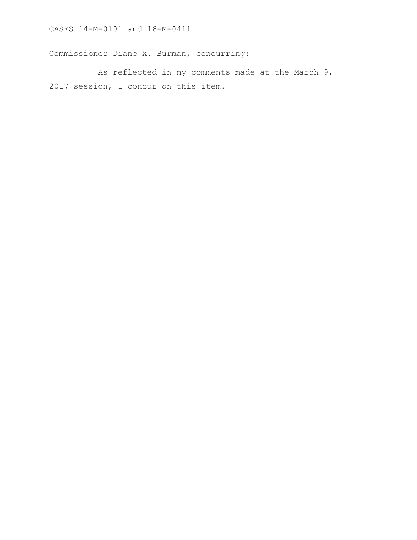Commissioner Diane X. Burman, concurring:

As reflected in my comments made at the March 9, 2017 session, I concur on this item.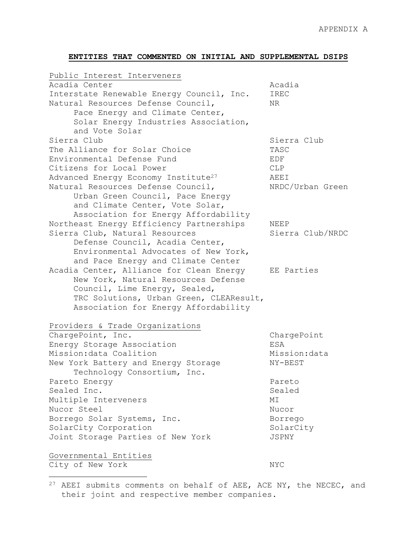# **ENTITIES THAT COMMENTED ON INITIAL AND SUPPLEMENTAL DSIPS**

| Public Interest Interveners                     |                  |
|-------------------------------------------------|------------------|
| Acadia Center                                   | Acadia           |
| Interstate Renewable Energy Council, Inc.       | IREC             |
| Natural Resources Defense Council,              | NR.              |
| Pace Energy and Climate Center,                 |                  |
| Solar Energy Industries Association,            |                  |
| and Vote Solar                                  |                  |
| Sierra Club                                     | Sierra Club      |
| The Alliance for Solar Choice                   | TASC             |
| Environmental Defense Fund                      | EDF              |
| Citizens for Local Power                        | <b>CLP</b>       |
| Advanced Energy Economy Institute <sup>27</sup> | AEEI             |
| Natural Resources Defense Council,              | NRDC/Urban Green |
| Urban Green Council, Pace Energy                |                  |
| and Climate Center, Vote Solar,                 |                  |
| Association for Energy Affordability            |                  |
| Northeast Energy Efficiency Partnerships        | NEEP             |
| Sierra Club, Natural Resources                  | Sierra Club/NRDC |
| Defense Council, Acadia Center,                 |                  |
| Environmental Advocates of New York,            |                  |
| and Pace Energy and Climate Center              |                  |
| Acadia Center, Alliance for Clean Energy        | EE Parties       |
| New York, Natural Resources Defense             |                  |
| Council, Lime Energy, Sealed,                   |                  |
| TRC Solutions, Urban Green, CLEAResult,         |                  |
| Association for Energy Affordability            |                  |
|                                                 |                  |
| Providers & Trade Organizations                 |                  |
| ChargePoint, Inc.                               | ChargePoint      |
| Energy Storage Association                      | ESA              |
| Mission: data Coalition                         | Mission: data    |
| New York Battery and Energy Storage             | NY-BEST          |
| Technology Consortium, Inc.                     |                  |
| Pareto Energy                                   | Pareto           |
| Sealed Inc.                                     | Sealed           |
| Multiple Interveners                            | МI               |
| Nucor Steel                                     | Nucor            |
| Borrego Solar Systems, Inc.                     | Borrego          |
| SolarCity Corporation                           | SolarCity        |
| Joint Storage Parties of New York               | JSPNY            |
| Governmental Entities                           |                  |
| City of New York                                | NYC              |
|                                                 |                  |

 $27$  AEEI submits comments on behalf of AEE, ACE NY, the NECEC, and their joint and respective member companies.